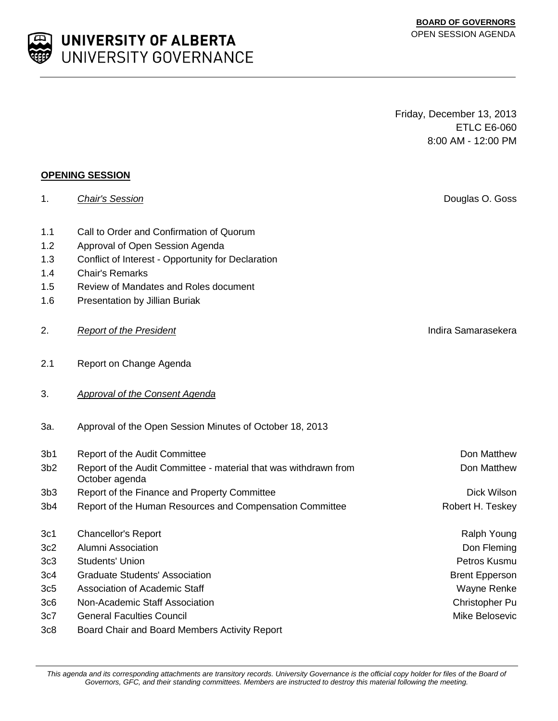This agenda and its corresponding attachments are transitory records. University Governance is the official copy holder for files of the Board of *Governors, GFC, and their standing committees. Members are instructed to destroy this material following the meeting.*

Friday, December 13, 2013 ETLC E6-060 8:00 AM - 12:00 PM

1. *Chair's Session* Douglas O. Goss

| 3b1             | <b>Report of the Audit Committee</b>                                               | Don Matthew           |
|-----------------|------------------------------------------------------------------------------------|-----------------------|
| 3 <sub>b2</sub> | Report of the Audit Committee - material that was withdrawn from<br>October agenda | Don Matthew           |
| 3b3             | Report of the Finance and Property Committee                                       | Dick Wilson           |
| 3b4             | Report of the Human Resources and Compensation Committee                           | Robert H. Teskey      |
| 3c1             | <b>Chancellor's Report</b>                                                         | Ralph Young           |
| 3c2             | Alumni Association                                                                 | Don Fleming           |
| 3c3             | Students' Union                                                                    | Petros Kusmu          |
| 3c4             | <b>Graduate Students' Association</b>                                              | <b>Brent Epperson</b> |
| 3c5             | Association of Academic Staff                                                      | Wayne Renke           |
| 3c6             | Non-Academic Staff Association                                                     | Christopher Pu        |

# **OPENING SESSION**

- 1.1 Call to Order and Confirmation of Quorum
- 1.2 Approval of Open Session Agenda
- 1.3 Conflict of Interest Opportunity for Declaration
- 1.4 Chair's Remarks
- 1.5 Review of Mandates and Roles document
- 1.6 Presentation by Jillian Buriak
- 2. **Report of the President Indira Samarasekera Indira Samarasekera**
- 2.1 Report on Change Agenda
- 3. *Approval of the Consent Agenda*
- 3a. Approval of the Open Session Minutes of October 18, 2013
- 
- 
- 
- 
- 
- 
- 
- 
- 
- 
- 
- 3c7 General Faculties Council Mike Belosevic
- 3c8 Board Chair and Board Members Activity Report

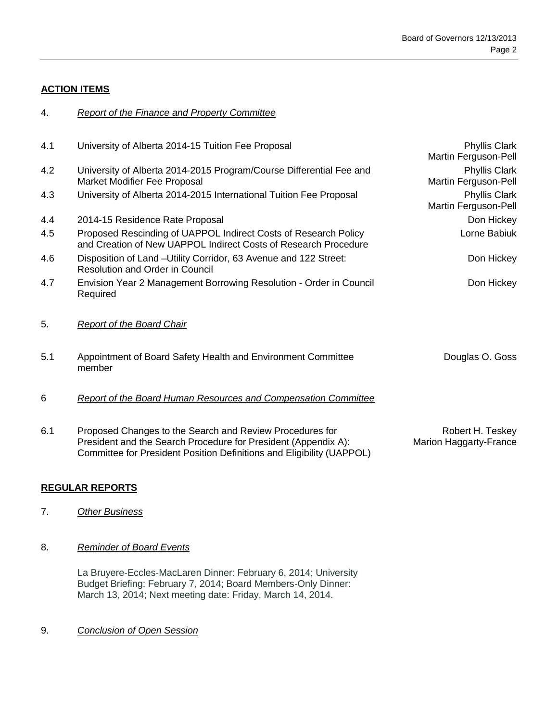### **ACTION ITEMS**

#### 4. *Report of the Finance and Property Committee*

| 4.1 | University of Alberta 2014-15 Tuition Fee Proposal                                                                                                                                                  | <b>Phyllis Clark</b><br>Martin Ferguson-Pell |
|-----|-----------------------------------------------------------------------------------------------------------------------------------------------------------------------------------------------------|----------------------------------------------|
| 4.2 | University of Alberta 2014-2015 Program/Course Differential Fee and<br>Market Modifier Fee Proposal                                                                                                 | Phyllis Clark<br>Martin Ferguson-Pell        |
| 4.3 | University of Alberta 2014-2015 International Tuition Fee Proposal                                                                                                                                  | <b>Phyllis Clark</b><br>Martin Ferguson-Pell |
| 4.4 | 2014-15 Residence Rate Proposal                                                                                                                                                                     | Don Hickey                                   |
| 4.5 | Proposed Rescinding of UAPPOL Indirect Costs of Research Policy<br>and Creation of New UAPPOL Indirect Costs of Research Procedure                                                                  | Lorne Babiuk                                 |
| 4.6 | Disposition of Land - Utility Corridor, 63 Avenue and 122 Street:<br><b>Resolution and Order in Council</b>                                                                                         | Don Hickey                                   |
| 4.7 | Envision Year 2 Management Borrowing Resolution - Order in Council<br>Required                                                                                                                      | Don Hickey                                   |
| 5.  | <b>Report of the Board Chair</b>                                                                                                                                                                    |                                              |
| 5.1 | Appointment of Board Safety Health and Environment Committee<br>member                                                                                                                              | Douglas O. Goss                              |
| 6   | <b>Report of the Board Human Resources and Compensation Committee</b>                                                                                                                               |                                              |
| 6.1 | Proposed Changes to the Search and Review Procedures for<br>President and the Search Procedure for President (Appendix A):<br>Committee for President Position Definitions and Eligibility (UAPPOL) | Robert H. Teskey<br>Marion Haggarty-France   |

## **REGULAR REPORTS**

7. *Other Business*

#### 8. *Reminder of Board Events*

La Bruyere-Eccles-MacLaren Dinner: February 6, 2014; University Budget Briefing: February 7, 2014; Board Members-Only Dinner: March 13, 2014; Next meeting date: Friday, March 14, 2014.

9. *Conclusion of Open Session*